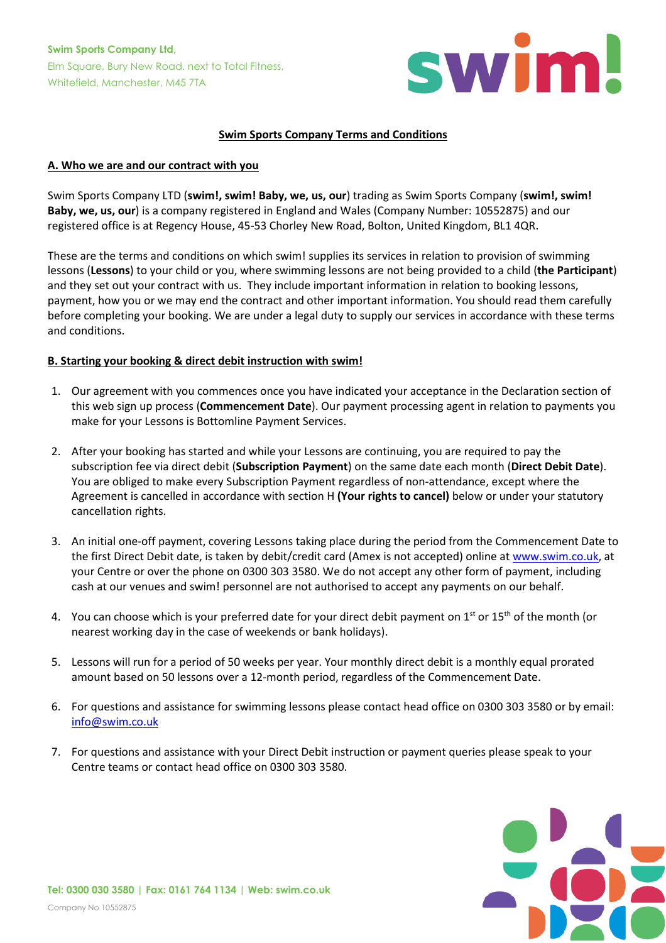

### **Swim Sports Company Terms and Conditions**

### **A. Who we are and our contract with you**

Swim Sports Company LTD (**swim!, swim! Baby, we, us, our**) trading as Swim Sports Company (**swim!, swim! Baby, we, us, our**) is a company registered in England and Wales (Company Number: 10552875) and our registered office is at Regency House, 45-53 Chorley New Road, Bolton, United Kingdom, BL1 4QR.

These are the terms and conditions on which swim! supplies its services in relation to provision of swimming lessons (**Lessons**) to your child or you, where swimming lessons are not being provided to a child (**the Participant**) and they set out your contract with us. They include important information in relation to booking lessons, payment, how you or we may end the contract and other important information. You should read them carefully before completing your booking. We are under a legal duty to supply our services in accordance with these terms and conditions.

#### **B. Starting your booking & direct debit instruction with swim!**

- 1. Our agreement with you commences once you have indicated your acceptance in the Declaration section of this web sign up process (**Commencement Date**). Our payment processing agent in relation to payments you make for your Lessons is Bottomline Payment Services.
- 2. After your booking has started and while your Lessons are continuing, you are required to pay the subscription fee via direct debit (**Subscription Payment**) on the same date each month (**Direct Debit Date**). You are obliged to make every Subscription Payment regardless of non-attendance, except where the Agreement is cancelled in accordance with section H **(Your rights to cancel)** below or under your statutory cancellation rights.
- 3. An initial one-off payment, covering Lessons taking place during the period from the Commencement Date to the first Direct Debit date, is taken by debit/credit card (Amex is not accepted) online at [www.swim.co.uk,](http://www.swim.co.uk/) at your Centre or over the phone on 0300 303 3580. We do not accept any other form of payment, including cash at our venues and swim! personnel are not authorised to accept any payments on our behalf.
- 4. You can choose which is your preferred date for your direct debit payment on  $1^{st}$  or  $15^{th}$  of the month (or nearest working day in the case of weekends or bank holidays).
- 5. Lessons will run for a period of 50 weeks per year. Your monthly direct debit is a monthly equal prorated amount based on 50 lessons over a 12-month period, regardless of the Commencement Date.
- 6. For questions and assistance for swimming lessons please contact head office on 0300 303 3580 or by email: [info@swim.co.uk](mailto:info@swim.co.uk)
- 7. For questions and assistance with your Direct Debit instruction or payment queries please speak to your Centre teams or contact head office on 0300 303 3580.

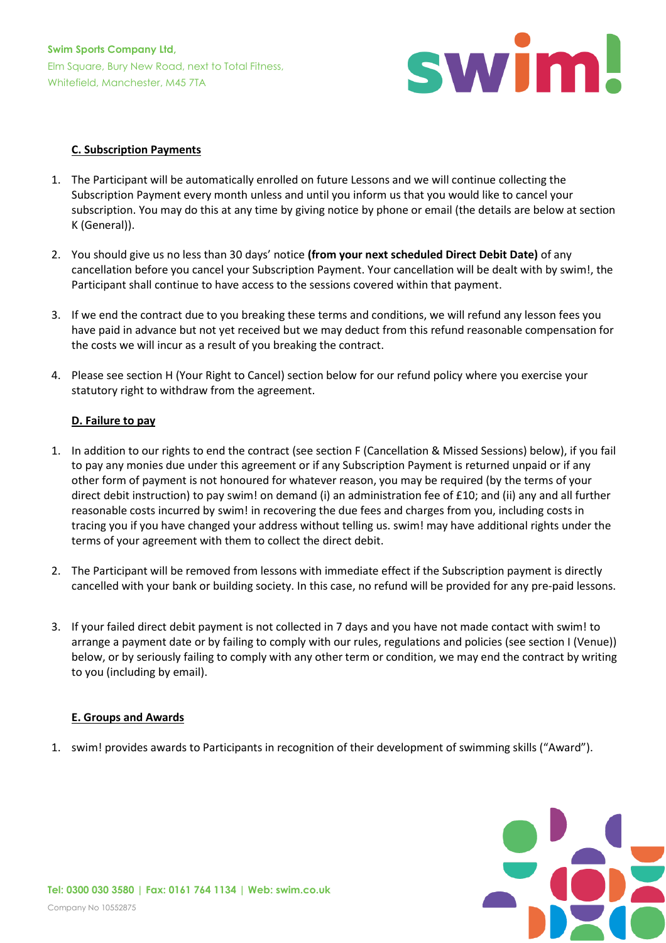

### **C. Subscription Payments**

- 1. The Participant will be automatically enrolled on future Lessons and we will continue collecting the Subscription Payment every month unless and until you inform us that you would like to cancel your subscription. You may do this at any time by giving notice by phone or email (the details are below at section K (General)).
- 2. You should give us no less than 30 days' notice **(from your next scheduled Direct Debit Date)** of any cancellation before you cancel your Subscription Payment. Your cancellation will be dealt with by swim!, the Participant shall continue to have access to the sessions covered within that payment.
- 3. If we end the contract due to you breaking these terms and conditions, we will refund any lesson fees you have paid in advance but not yet received but we may deduct from this refund reasonable compensation for the costs we will incur as a result of you breaking the contract.
- 4. Please see section H (Your Right to Cancel) section below for our refund policy where you exercise your statutory right to withdraw from the agreement.

### **D. Failure to pay**

- 1. In addition to our rights to end the contract (see section F (Cancellation & Missed Sessions) below), if you fail to pay any monies due under this agreement or if any Subscription Payment is returned unpaid or if any other form of payment is not honoured for whatever reason, you may be required (by the terms of your direct debit instruction) to pay swim! on demand (i) an administration fee of £10; and (ii) any and all further reasonable costs incurred by swim! in recovering the due fees and charges from you, including costs in tracing you if you have changed your address without telling us. swim! may have additional rights under the terms of your agreement with them to collect the direct debit.
- 2. The Participant will be removed from lessons with immediate effect if the Subscription payment is directly cancelled with your bank or building society. In this case, no refund will be provided for any pre-paid lessons.
- 3. If your failed direct debit payment is not collected in 7 days and you have not made contact with swim! to arrange a payment date or by failing to comply with our rules, regulations and policies (see section I (Venue)) below, or by seriously failing to comply with any other term or condition, we may end the contract by writing to you (including by email).

### **E. Groups and Awards**

1. swim! provides awards to Participants in recognition of their development of swimming skills ("Award").

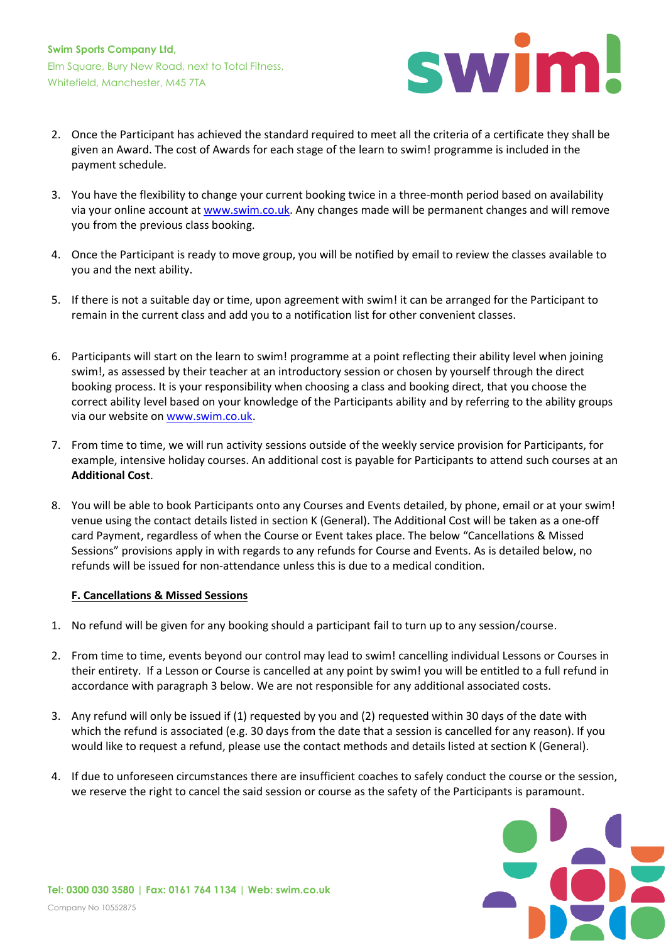

- 2. Once the Participant has achieved the standard required to meet all the criteria of a certificate they shall be given an Award. The cost of Awards for each stage of the learn to swim! programme is included in the payment schedule.
- 3. You have the flexibility to change your current booking twice in a three-month period based on availability via your online account at [www.swim.co.uk.](http://www.swim.co.uk/) Any changes made will be permanent changes and will remove you from the previous class booking.
- 4. Once the Participant is ready to move group, you will be notified by email to review the classes available to you and the next ability.
- 5. If there is not a suitable day or time, upon agreement with swim! it can be arranged for the Participant to remain in the current class and add you to a notification list for other convenient classes.
- 6. Participants will start on the learn to swim! programme at a point reflecting their ability level when joining swim!, as assessed by their teacher at an introductory session or chosen by yourself through the direct booking process. It is your responsibility when choosing a class and booking direct, that you choose the correct ability level based on your knowledge of the Participants ability and by referring to the ability groups via our website o[n www.swim.co.uk.](http://www.swim.co.uk/)
- 7. From time to time, we will run activity sessions outside of the weekly service provision for Participants, for example, intensive holiday courses. An additional cost is payable for Participants to attend such courses at an **Additional Cost**.
- 8. You will be able to book Participants onto any Courses and Events detailed, by phone, email or at your swim! venue using the contact details listed in section K (General). The Additional Cost will be taken as a one-off card Payment, regardless of when the Course or Event takes place. The below "Cancellations & Missed Sessions" provisions apply in with regards to any refunds for Course and Events. As is detailed below, no refunds will be issued for non-attendance unless this is due to a medical condition.

### **F. Cancellations & Missed Sessions**

- 1. No refund will be given for any booking should a participant fail to turn up to any session/course.
- 2. From time to time, events beyond our control may lead to swim! cancelling individual Lessons or Courses in their entirety. If a Lesson or Course is cancelled at any point by swim! you will be entitled to a full refund in accordance with paragraph 3 below. We are not responsible for any additional associated costs.
- 3. Any refund will only be issued if (1) requested by you and (2) requested within 30 days of the date with which the refund is associated (e.g. 30 days from the date that a session is cancelled for any reason). If you would like to request a refund, please use the contact methods and details listed at section K (General).
- 4. If due to unforeseen circumstances there are insufficient coaches to safely conduct the course or the session, we reserve the right to cancel the said session or course as the safety of the Participants is paramount.

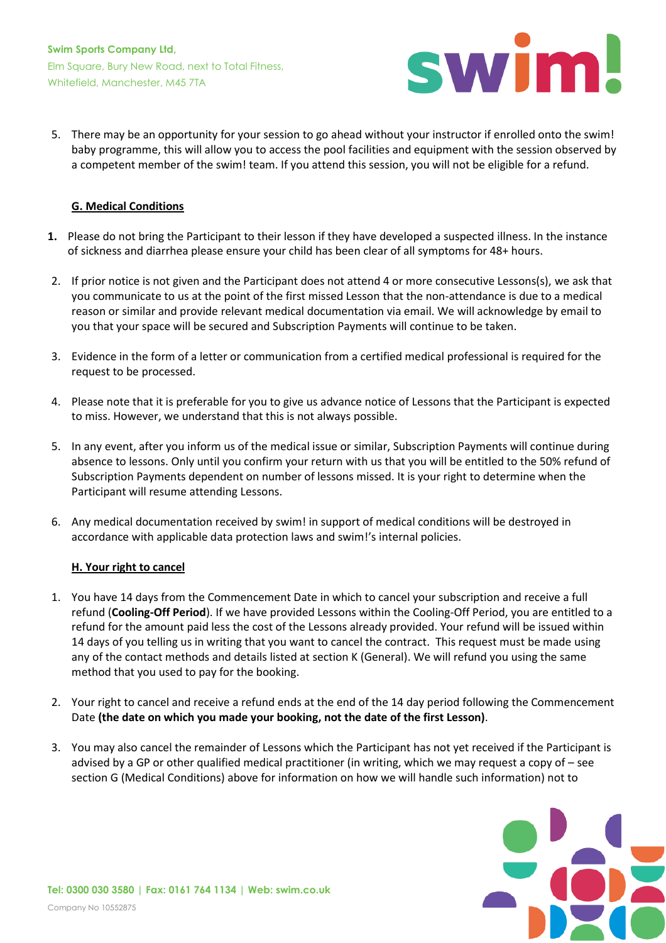

5. There may be an opportunity for your session to go ahead without your instructor if enrolled onto the swim! baby programme, this will allow you to access the pool facilities and equipment with the session observed by a competent member of the swim! team. If you attend this session, you will not be eligible for a refund.

# **G. Medical Conditions**

- **1.** Please do not bring the Participant to their lesson if they have developed a suspected illness. In the instance of sickness and diarrhea please ensure your child has been clear of all symptoms for 48+ hours.
- 2. If prior notice is not given and the Participant does not attend 4 or more consecutive Lessons(s), we ask that you communicate to us at the point of the first missed Lesson that the non-attendance is due to a medical reason or similar and provide relevant medical documentation via email. We will acknowledge by email to you that your space will be secured and Subscription Payments will continue to be taken.
- 3. Evidence in the form of a letter or communication from a certified medical professional is required for the request to be processed.
- 4. Please note that it is preferable for you to give us advance notice of Lessons that the Participant is expected to miss. However, we understand that this is not always possible.
- 5. In any event, after you inform us of the medical issue or similar, Subscription Payments will continue during absence to lessons. Only until you confirm your return with us that you will be entitled to the 50% refund of Subscription Payments dependent on number of lessons missed. It is your right to determine when the Participant will resume attending Lessons.
- 6. Any medical documentation received by swim! in support of medical conditions will be destroyed in accordance with applicable data protection laws and swim!'s internal policies.

### **H. Your right to cancel**

- 1. You have 14 days from the Commencement Date in which to cancel your subscription and receive a full refund (**Cooling-Off Period**). If we have provided Lessons within the Cooling-Off Period, you are entitled to a refund for the amount paid less the cost of the Lessons already provided. Your refund will be issued within 14 days of you telling us in writing that you want to cancel the contract. This request must be made using any of the contact methods and details listed at section K (General). We will refund you using the same method that you used to pay for the booking.
- 2. Your right to cancel and receive a refund ends at the end of the 14 day period following the Commencement Date **(the date on which you made your booking, not the date of the first Lesson)**.
- 3. You may also cancel the remainder of Lessons which the Participant has not yet received if the Participant is advised by a GP or other qualified medical practitioner (in writing, which we may request a copy of – see section G (Medical Conditions) above for information on how we will handle such information) not to

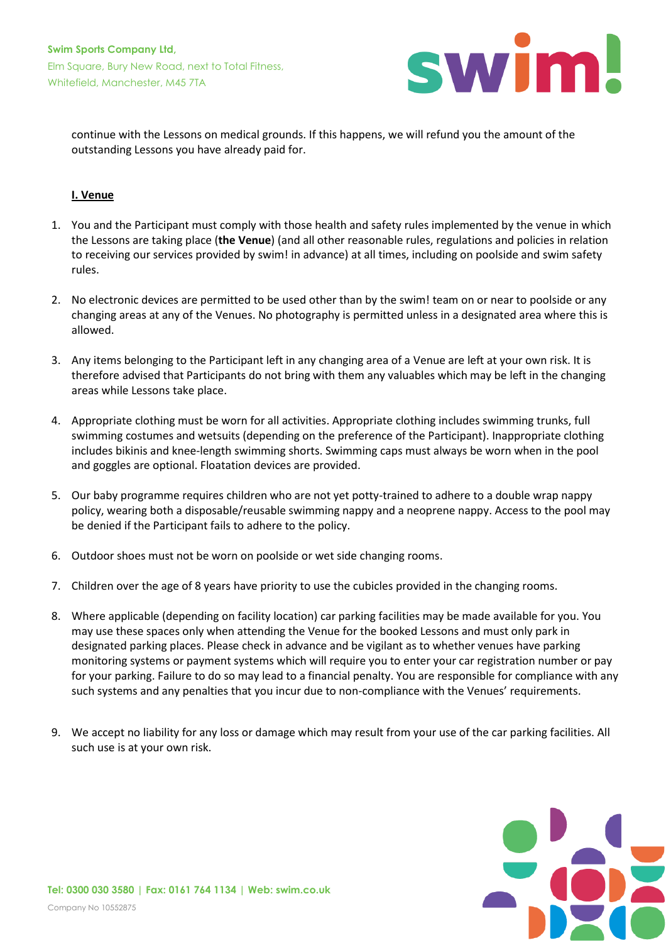

continue with the Lessons on medical grounds. If this happens, we will refund you the amount of the outstanding Lessons you have already paid for.

# **I. Venue**

- 1. You and the Participant must comply with those health and safety rules implemented by the venue in which the Lessons are taking place (**the Venue**) (and all other reasonable rules, regulations and policies in relation to receiving our services provided by swim! in advance) at all times, including on poolside and swim safety rules.
- 2. No electronic devices are permitted to be used other than by the swim! team on or near to poolside or any changing areas at any of the Venues. No photography is permitted unless in a designated area where this is allowed.
- 3. Any items belonging to the Participant left in any changing area of a Venue are left at your own risk. It is therefore advised that Participants do not bring with them any valuables which may be left in the changing areas while Lessons take place.
- 4. Appropriate clothing must be worn for all activities. Appropriate clothing includes swimming trunks, full swimming costumes and wetsuits (depending on the preference of the Participant). Inappropriate clothing includes bikinis and knee-length swimming shorts. Swimming caps must always be worn when in the pool and goggles are optional. Floatation devices are provided.
- 5. Our baby programme requires children who are not yet potty-trained to adhere to a double wrap nappy policy, wearing both a disposable/reusable swimming nappy and a neoprene nappy. Access to the pool may be denied if the Participant fails to adhere to the policy.
- 6. Outdoor shoes must not be worn on poolside or wet side changing rooms.
- 7. Children over the age of 8 years have priority to use the cubicles provided in the changing rooms.
- 8. Where applicable (depending on facility location) car parking facilities may be made available for you. You may use these spaces only when attending the Venue for the booked Lessons and must only park in designated parking places. Please check in advance and be vigilant as to whether venues have parking monitoring systems or payment systems which will require you to enter your car registration number or pay for your parking. Failure to do so may lead to a financial penalty. You are responsible for compliance with any such systems and any penalties that you incur due to non-compliance with the Venues' requirements.
- 9. We accept no liability for any loss or damage which may result from your use of the car parking facilities. All such use is at your own risk.

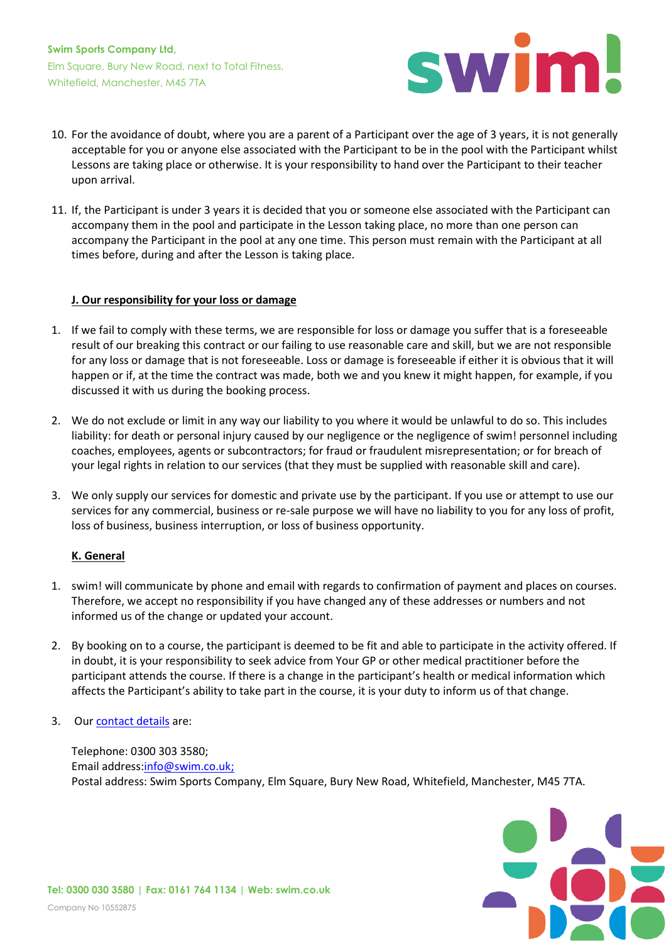

- 10. For the avoidance of doubt, where you are a parent of a Participant over the age of 3 years, it is not generally acceptable for you or anyone else associated with the Participant to be in the pool with the Participant whilst Lessons are taking place or otherwise. It is your responsibility to hand over the Participant to their teacher upon arrival.
- 11. If, the Participant is under 3 years it is decided that you or someone else associated with the Participant can accompany them in the pool and participate in the Lesson taking place, no more than one person can accompany the Participant in the pool at any one time. This person must remain with the Participant at all times before, during and after the Lesson is taking place.

### **J. Our responsibility for your loss or damage**

- 1. If we fail to comply with these terms, we are responsible for loss or damage you suffer that is a foreseeable result of our breaking this contract or our failing to use reasonable care and skill, but we are not responsible for any loss or damage that is not foreseeable. Loss or damage is foreseeable if either it is obvious that it will happen or if, at the time the contract was made, both we and you knew it might happen, for example, if you discussed it with us during the booking process.
- 2. We do not exclude or limit in any way our liability to you where it would be unlawful to do so. This includes liability: for death or personal injury caused by our negligence or the negligence of swim! personnel including coaches, employees, agents or subcontractors; for fraud or fraudulent misrepresentation; or for breach of your legal rights in relation to our services (that they must be supplied with reasonable skill and care).
- 3. We only supply our services for domestic and private use by the participant. If you use or attempt to use our services for any commercial, business or re-sale purpose we will have no liability to you for any loss of profit, loss of business, business interruption, or loss of business opportunity.

### **K. General**

- 1. swim! will communicate by phone and email with regards to confirmation of payment and places on courses. Therefore, we accept no responsibility if you have changed any of these addresses or numbers and not informed us of the change or updated your account.
- 2. By booking on to a course, the participant is deemed to be fit and able to participate in the activity offered. If in doubt, it is your responsibility to seek advice from Your GP or other medical practitioner before the participant attends the course. If there is a change in the participant's health or medical information which affects the Participant's ability to take part in the course, it is your duty to inform us of that change.
- 3. Ou[r contact details](https://www.swim.co.uk/about/contact_us) are:

Telephone: 0300 303 3580; Email address[:info@swim.co.uk;](mailto:info@swim.co.uk) Postal address: Swim Sports Company, Elm Square, Bury New Road, Whitefield, Manchester, M45 7TA.